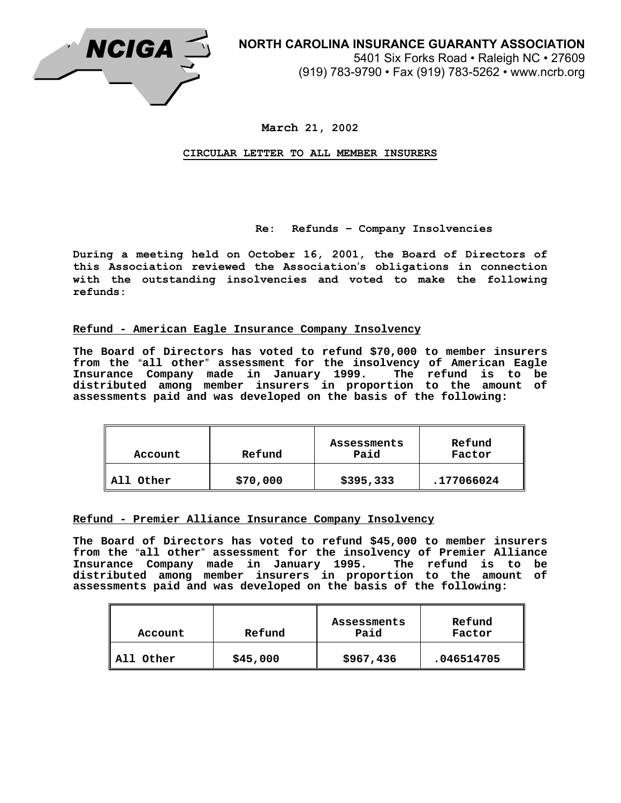

**March 21, 2002** 

**CIRCULAR LETTER TO ALL MEMBER INSURERS**

## **Re: Refunds – Company Insolvencies**

**During a meeting held on October 16, 2001, the Board of Directors of this Association reviewed the Association**=**s obligations in connection with the outstanding insolvencies and voted to make the following refunds:** 

## **Refund - American Eagle Insurance Company Insolvency**

**The Board of Directors has voted to refund \$70,000 to member insurers**  from the "all other" assessment for the insolvency of American Eagle **Insurance Company made in January 1999. The refund is to be distributed among member insurers in proportion to the amount of assessments paid and was developed on the basis of the following:** 

| Account        | Refund   | Assessments<br>Paid | Refund<br>Factor |
|----------------|----------|---------------------|------------------|
| . Other<br>All | \$70,000 | \$395,333           | .177066024       |

## **Refund - Premier Alliance Insurance Company Insolvency**

**The Board of Directors has voted to refund \$45,000 to member insurers**  from the "all other" assessment for the insolvency of Premier Alliance **Insurance Company made in January 1995. The refund is to be distributed among member insurers in proportion to the amount of assessments paid and was developed on the basis of the following:** 

| Account   | Refund   | Assessments<br>Paid | Refund<br>Factor |
|-----------|----------|---------------------|------------------|
| All Other | \$45,000 | \$967,436           | .046514705       |